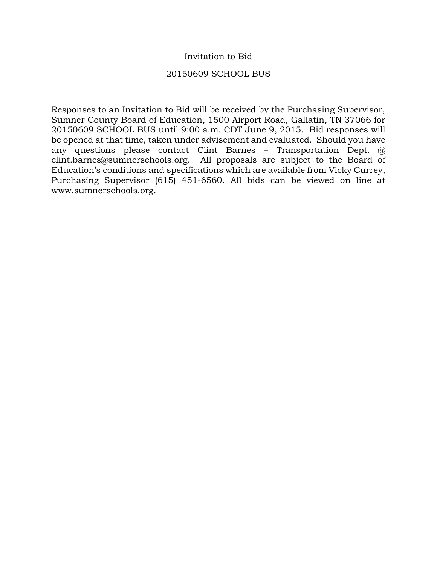# Invitation to Bid

## 20150609 SCHOOL BUS

Responses to an Invitation to Bid will be received by the Purchasing Supervisor, Sumner County Board of Education, 1500 Airport Road, Gallatin, TN 37066 for 20150609 SCHOOL BUS until 9:00 a.m. CDT June 9, 2015. Bid responses will be opened at that time, taken under advisement and evaluated. Should you have any questions please contact Clint Barnes – Transportation Dept. @ clint.barnes@sumnerschools.org. All proposals are subject to the Board of Education's conditions and specifications which are available from Vicky Currey, Purchasing Supervisor (615) 451-6560. All bids can be viewed on line at www.sumnerschools.org.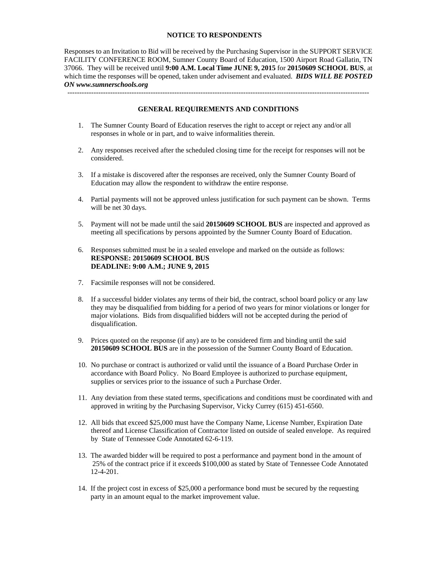### **NOTICE TO RESPONDENTS**

Responses to an Invitation to Bid will be received by the Purchasing Supervisor in the SUPPORT SERVICE FACILITY CONFERENCE ROOM, Sumner County Board of Education, 1500 Airport Road Gallatin, TN 37066. They will be received until **9:00 A.M. Local Time JUNE 9, 2015** for **20150609 SCHOOL BUS**, at which time the responses will be opened, taken under advisement and evaluated. *BIDS WILL BE POSTED ON www.sumnerschools.org* 

#### **GENERAL REQUIREMENTS AND CONDITIONS**

-------------------------------------------------------------------------------------------------------------------------------

- 1. The Sumner County Board of Education reserves the right to accept or reject any and/or all responses in whole or in part, and to waive informalities therein.
- 2. Any responses received after the scheduled closing time for the receipt for responses will not be considered.
- 3. If a mistake is discovered after the responses are received, only the Sumner County Board of Education may allow the respondent to withdraw the entire response.
- 4. Partial payments will not be approved unless justification for such payment can be shown. Terms will be net 30 days.
- 5. Payment will not be made until the said **20150609 SCHOOL BUS** are inspected and approved as meeting all specifications by persons appointed by the Sumner County Board of Education.
- 6. Responses submitted must be in a sealed envelope and marked on the outside as follows: **RESPONSE: 20150609 SCHOOL BUS DEADLINE: 9:00 A.M.; JUNE 9, 2015**
- 7. Facsimile responses will not be considered.
- 8. If a successful bidder violates any terms of their bid, the contract, school board policy or any law they may be disqualified from bidding for a period of two years for minor violations or longer for major violations. Bids from disqualified bidders will not be accepted during the period of disqualification.
- 9. Prices quoted on the response (if any) are to be considered firm and binding until the said **20150609 SCHOOL BUS** are in the possession of the Sumner County Board of Education.
- 10. No purchase or contract is authorized or valid until the issuance of a Board Purchase Order in accordance with Board Policy. No Board Employee is authorized to purchase equipment, supplies or services prior to the issuance of such a Purchase Order.
- 11. Any deviation from these stated terms, specifications and conditions must be coordinated with and approved in writing by the Purchasing Supervisor, Vicky Currey (615) 451-6560.
- 12. All bids that exceed \$25,000 must have the Company Name, License Number, Expiration Date thereof and License Classification of Contractor listed on outside of sealed envelope. As required by State of Tennessee Code Annotated 62-6-119.
- 13. The awarded bidder will be required to post a performance and payment bond in the amount of 25% of the contract price if it exceeds \$100,000 as stated by State of Tennessee Code Annotated 12-4-201.
- 14. If the project cost in excess of \$25,000 a performance bond must be secured by the requesting party in an amount equal to the market improvement value.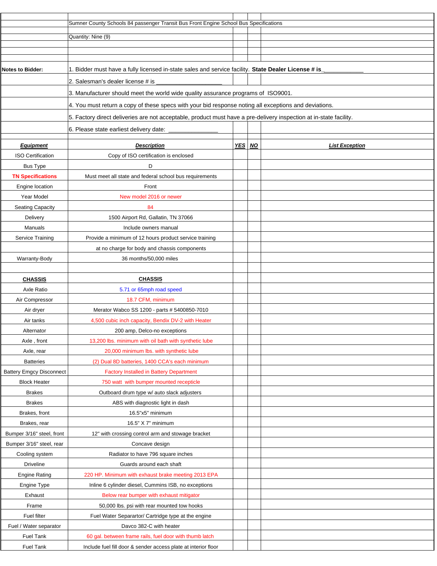|                                 | Sumner County Schools 84 passenger Transit Bus Front Engine School Bus Specifications                              |        |                       |
|---------------------------------|--------------------------------------------------------------------------------------------------------------------|--------|-----------------------|
|                                 | Quantity: Nine (9)                                                                                                 |        |                       |
|                                 |                                                                                                                    |        |                       |
|                                 |                                                                                                                    |        |                       |
| <b>Notes to Bidder:</b>         | 1. Bidder must have a fully licensed in-state sales and service facility. State Dealer License # is                |        |                       |
|                                 | 2. Salesman's dealer license # is                                                                                  |        |                       |
|                                 | 3. Manufacturer should meet the world wide quality assurance programs of ISO9001.                                  |        |                       |
|                                 |                                                                                                                    |        |                       |
|                                 | 4. You must return a copy of these specs with your bid response noting all exceptions and deviations.              |        |                       |
|                                 | 5. Factory direct deliveries are not acceptable, product must have a pre-delivery inspection at in-state facility. |        |                       |
|                                 | 6. Please state earliest delivery date:                                                                            |        |                       |
| <b>Equipment</b>                | <b>Description</b>                                                                                                 | YES NO | <b>List Exception</b> |
| <b>ISO Certification</b>        | Copy of ISO certification is enclosed                                                                              |        |                       |
| <b>Bus Type</b>                 | D                                                                                                                  |        |                       |
| <b>TN Specifications</b>        | Must meet all state and federal school bus requirements                                                            |        |                       |
| Engine location                 | Front                                                                                                              |        |                       |
| Year Model                      | New model 2016 or newer                                                                                            |        |                       |
| Seating Capacity                | 84                                                                                                                 |        |                       |
| Delivery                        | 1500 Airport Rd, Gallatin, TN 37066                                                                                |        |                       |
| Manuals                         | Include owners manual                                                                                              |        |                       |
| Service Training                | Provide a minimum of 12 hours product service training                                                             |        |                       |
|                                 | at no charge for body and chassis components                                                                       |        |                       |
| Warranty-Body                   | 36 months/50,000 miles                                                                                             |        |                       |
|                                 |                                                                                                                    |        |                       |
| <b>CHASSIS</b>                  | <b>CHASSIS</b>                                                                                                     |        |                       |
| Axle Ratio                      | 5.71 or 65mph road speed                                                                                           |        |                       |
| Air Compressor                  | 18.7 CFM, minimum                                                                                                  |        |                       |
| Air dryer                       | Merator Wabco SS 1200 - parts # 5400850-7010                                                                       |        |                       |
| Air tanks                       | 4,500 cubic inch capacity, Bendix DV-2 with Heater                                                                 |        |                       |
| Alternator                      | 200 amp, Delco-no exceptions                                                                                       |        |                       |
| Axle, front                     | 13,200 lbs. minimum with oil bath with synthetic lube                                                              |        |                       |
| Axle, rear                      | 20,000 minimum lbs. with synthetic lube                                                                            |        |                       |
| <b>Batteries</b>                | (2) Dual 8D batteries, 1400 CCA's each minimum                                                                     |        |                       |
| <b>Battery Emgcy Disconnect</b> | <b>Factory Installed in Battery Department</b>                                                                     |        |                       |
| <b>Block Heater</b>             | 750 watt with bumper mounted recepticle                                                                            |        |                       |
| <b>Brakes</b>                   | Outboard drum type w/ auto slack adjusters                                                                         |        |                       |
| <b>Brakes</b>                   | ABS with diagnostic light in dash                                                                                  |        |                       |
| Brakes, front                   | 16.5"x5" minimum                                                                                                   |        |                       |
| Brakes, rear                    | 16.5" X 7" minimum                                                                                                 |        |                       |
| Bumper 3/16" steel, front       | 12" with crossing control arm and stowage bracket                                                                  |        |                       |
| Bumper 3/16" steel, rear        | Concave design                                                                                                     |        |                       |
| Cooling system                  | Radiator to have 796 square inches                                                                                 |        |                       |
| <b>Driveline</b>                | Guards around each shaft                                                                                           |        |                       |
| <b>Engine Rating</b>            | 220 HP. Minimum with exhaust brake meeting 2013 EPA                                                                |        |                       |
| Engine Type                     | Inline 6 cylinder diesel, Cummins ISB, no exceptions                                                               |        |                       |
| Exhaust                         | Below rear bumper with exhaust mitigator                                                                           |        |                       |
| Frame                           | 50,000 lbs. psi with rear mounted tow hooks                                                                        |        |                       |
| Fuel filter                     | Fuel Water Separartor/ Cartridge type at the engine                                                                |        |                       |
| Fuel / Water separator          | Davco 382-C with heater                                                                                            |        |                       |
| <b>Fuel Tank</b>                | 60 gal. between frame rails, fuel door with thumb latch                                                            |        |                       |
| <b>Fuel Tank</b>                | Include fuel fill door & sender access plate at interior floor                                                     |        |                       |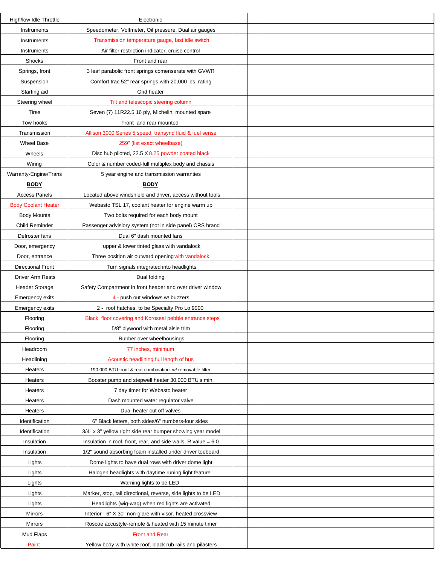| High/low Idle Throttle     | Electronic                                                       |  |  |
|----------------------------|------------------------------------------------------------------|--|--|
| Instruments                | Speedometer, Voltmeter, Oil pressure, Dual air gauges            |  |  |
| Instruments                | Transmission temperature gauge, fast idle switch                 |  |  |
| Instruments                | Air filter restriction indicator, cruise control                 |  |  |
| Shocks                     | Front and rear                                                   |  |  |
| Springs, front             | 3 leaf parabolic front springs comenserate with GVWR             |  |  |
| Suspension                 | Comfort trac 52" rear springs with 20,000 lbs. rating            |  |  |
| Starting aid               | Grid heater                                                      |  |  |
| Steering wheel             | Tilt and telescopic steering column                              |  |  |
| Tires                      | Seven (7) 11R22.5 16 ply, Michelin, mounted spare                |  |  |
| Tow hooks                  | Front and rear mounted                                           |  |  |
| Transmission               | Allison 3000 Series 5 speed, transynd fluid & fuel sense         |  |  |
| <b>Wheel Base</b>          | 259" (list exact wheelbase)                                      |  |  |
| Wheels                     | Disc hub piloted, 22.5 X 8.25 powder coated black                |  |  |
| Wiring                     | Color & number coded-full multiplex body and chassis             |  |  |
| Warranty-Engine/Trans      | 5 year engine and transmission warranties                        |  |  |
| <b>BODY</b>                | <b>BODY</b>                                                      |  |  |
| <b>Access Panels</b>       | Located above windshield and driver, access without tools        |  |  |
| <b>Body Coolant Heater</b> | Webasto TSL 17, coolant heater for engine warm up                |  |  |
| <b>Body Mounts</b>         | Two bolts required for each body mount                           |  |  |
| Child Reminder             | Passenger advisiory system (not in side panel) CRS brand         |  |  |
| Defroster fans             | Dual 6" dash mounted fans                                        |  |  |
| Door, emergency            | upper & lower tinted glass with vandalock                        |  |  |
| Door, entrance             | Three position air outward opening with vandalock                |  |  |
| <b>Directional Front</b>   | Turn signals integrated into headlights                          |  |  |
| Driver Arm Rests           | Dual folding                                                     |  |  |
| <b>Header Storage</b>      | Safety Compartment in front header and over driver window        |  |  |
| Emergency exits            | 4 - push out windows w/ buzzers                                  |  |  |
| <b>Emergency exits</b>     | 2 - roof hatches, to be Specialty Pro Lo 9000                    |  |  |
| Flooring                   | Black floor covering and Koroseal pebble entrance steps          |  |  |
| Flooring                   | 5/8" plywood with metal aisle trim                               |  |  |
| Flooring                   | Rubber over wheelhousings                                        |  |  |
| Headroom                   | 77 inches, minimum                                               |  |  |
| Headlining                 | Acoustic headlining full length of bus                           |  |  |
| Heaters                    | 190,000 BTU front & rear combination w/ removable filter         |  |  |
| Heaters                    | Booster pump and stepwell heater 30,000 BTU's min.               |  |  |
| Heaters                    | 7 day timer for Webasto heater                                   |  |  |
| Heaters                    | Dash mounted water regulator valve                               |  |  |
| Heaters                    | Dual heater cut off valves                                       |  |  |
| Identification             | 6" Black letters, both sides/6" numbers-four sides               |  |  |
| Identification             | 3/4" x 3" yellow right side rear bumper showing year model       |  |  |
| Insulation                 | Insulation in roof, front, rear, and side walls. R value $= 6.0$ |  |  |
| Insulation                 | 1/2" sound absorbing foam installed under driver toeboard        |  |  |
| Lights                     | Dome lights to have dual rows with driver dome light             |  |  |
| Lights                     | Halogen headlights with daytime runing light feature             |  |  |
| Lights                     | Warning lights to be LED                                         |  |  |
| Lights                     | Marker, stop, tail directional, reverse, side lights to be LED   |  |  |
| Lights                     | Headlights (wig-wag) when red lights are activated               |  |  |
| Mirrors                    | Interior - 6" X 30" non-glare with visor, heated crossview       |  |  |
| Mirrors                    | Roscoe accustyle-remote & heated with 15 minute timer            |  |  |
| Mud Flaps                  | <b>Front and Rear</b>                                            |  |  |
| Paint                      | Yellow body with white roof, black rub rails and pilasters       |  |  |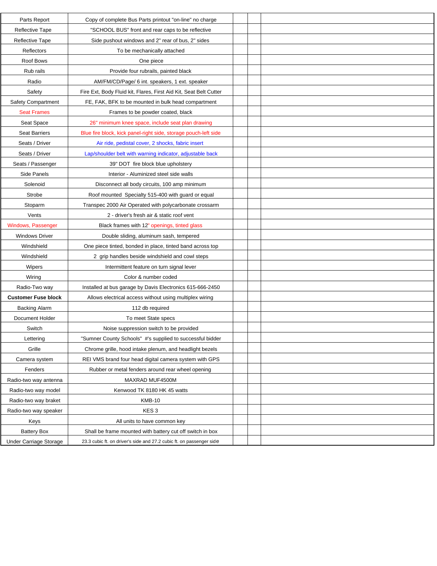| Parts Report               | Copy of complete Bus Parts printout "on-line" no charge              |  |
|----------------------------|----------------------------------------------------------------------|--|
| <b>Reflective Tape</b>     | "SCHOOL BUS" front and rear caps to be reflective                    |  |
| Reflective Tape            | Side pushout windows and 2" rear of bus, 2" sides                    |  |
| Reflectors                 | To be mechanically attached                                          |  |
| Roof Bows                  | One piece                                                            |  |
| Rub rails                  | Provide four rubrails, painted black                                 |  |
| Radio                      | AM/FM/CD/Page/ 6 int. speakers, 1 ext. speaker                       |  |
| Safety                     | Fire Ext, Body Fluid kit, Flares, First Aid Kit, Seat Belt Cutter    |  |
| Safety Compartment         | FE, FAK, BFK to be mounted in bulk head compartment                  |  |
| <b>Seat Frames</b>         | Frames to be powder coated, black                                    |  |
| Seat Space                 | 26" minimum knee space, include seat plan drawing                    |  |
| <b>Seat Barriers</b>       | Blue fire block, kick panel-right side, storage pouch-left side      |  |
| Seats / Driver             | Air ride, pedistal cover, 2 shocks, fabric insert                    |  |
| Seats / Driver             | Lap/shoulder belt with warning indicator, adjustable back            |  |
| Seats / Passenger          | 39" DOT fire block blue upholstery                                   |  |
| Side Panels                | Interior - Aluminized steel side walls                               |  |
| Solenoid                   | Disconnect all body circuits, 100 amp minimum                        |  |
| Strobe                     | Roof mounted Specialty 515-400 with guard or equal                   |  |
| Stoparm                    | Transpec 2000 Air Operated with polycarbonate crossarm               |  |
| Vents                      | 2 - driver's fresh air & static roof vent                            |  |
| Windows, Passenger         | Black frames with 12" openings, tinted glass                         |  |
| <b>Windows Driver</b>      | Double sliding, aluminum sash, tempered                              |  |
| Windshield                 | One piece tinted, bonded in place, tinted band across top            |  |
| Windshield                 | 2 grip handles beside windshield and cowl steps                      |  |
| Wipers                     | Intermittent feature on turn signal lever                            |  |
| Wiring                     | Color & number coded                                                 |  |
| Radio-Two way              | Installed at bus garage by Davis Electronics 615-666-2450            |  |
| <b>Customer Fuse block</b> | Allows electrical access without using multiplex wiring              |  |
| <b>Backing Alarm</b>       | 112 db required                                                      |  |
| Document Holder            | To meet State specs                                                  |  |
| Switch                     | Noise suppression switch to be provided                              |  |
| Lettering                  | "Sumner County Schools" #'s supplied to successful bidder            |  |
| Grille                     | Chrome grille, hood intake plenum, and headlight bezels              |  |
| Camera system              | REI VMS brand four head digital camera system with GPS               |  |
| Fenders                    | Rubber or metal fenders around rear wheel opening                    |  |
| Radio-two way antenna      | MAXRAD MUF4500M                                                      |  |
| Radio-two way model        | Kenwood TK 8180 HK 45 watts                                          |  |
| Radio-two way braket       | <b>KMB-10</b>                                                        |  |
| Radio-two way speaker      | KES <sub>3</sub>                                                     |  |
| Keys                       | All units to have common key                                         |  |
| <b>Battery Box</b>         | Shall be frame mounted with battery cut off switch in box            |  |
| Under Carriage Storage     | 23.3 cubic ft. on driver's side and 27.2 cubic ft. on passenger side |  |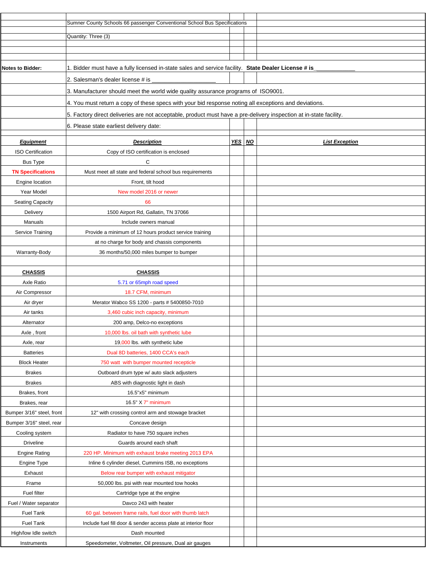|                               | Sumner County Schools 66 passenger Conventional School Bus Specifications                                          |                       |
|-------------------------------|--------------------------------------------------------------------------------------------------------------------|-----------------------|
|                               | Quantity: Three (3)                                                                                                |                       |
|                               |                                                                                                                    |                       |
|                               |                                                                                                                    |                       |
| <b>Notes to Bidder:</b>       | 1. Bidder must have a fully licensed in-state sales and service facility. State Dealer License # is                |                       |
|                               | 2. Salesman's dealer license # is                                                                                  |                       |
|                               | 3. Manufacturer should meet the world wide quality assurance programs of ISO9001.                                  |                       |
|                               | 4. You must return a copy of these specs with your bid response noting all exceptions and deviations.              |                       |
|                               | 5. Factory direct deliveries are not acceptable, product must have a pre-delivery inspection at in-state facility. |                       |
|                               | 6. Please state earliest delivery date:                                                                            |                       |
|                               |                                                                                                                    |                       |
| <b>Equipment</b>              | YES NO<br><b>Description</b>                                                                                       | <b>List Exception</b> |
| <b>ISO Certification</b>      | Copy of ISO certification is enclosed                                                                              |                       |
| <b>Bus Type</b>               | C                                                                                                                  |                       |
| <b>TN Specifications</b>      | Must meet all state and federal school bus requirements                                                            |                       |
| Engine location<br>Year Model | Front, tilt hood<br>New model 2016 or newer                                                                        |                       |
| <b>Seating Capacity</b>       | 66                                                                                                                 |                       |
| Delivery                      | 1500 Airport Rd, Gallatin, TN 37066                                                                                |                       |
| Manuals                       | Include owners manual                                                                                              |                       |
| Service Training              | Provide a minimum of 12 hours product service training                                                             |                       |
|                               | at no charge for body and chassis components                                                                       |                       |
| Warranty-Body                 | 36 months/50,000 miles bumper to bumper                                                                            |                       |
|                               |                                                                                                                    |                       |
| <b>CHASSIS</b>                | <b>CHASSIS</b>                                                                                                     |                       |
| Axle Ratio                    | 5.71 or 65mph road speed                                                                                           |                       |
| Air Compressor                | 18.7 CFM, minimum                                                                                                  |                       |
| Air dryer                     | Merator Wabco SS 1200 - parts # 5400850-7010                                                                       |                       |
| Air tanks                     | 3,460 cubic inch capacity, minimum                                                                                 |                       |
| Alternator                    | 200 amp, Delco-no exceptions                                                                                       |                       |
| Axle, front                   | 10,000 lbs. oil bath with synthetic lube                                                                           |                       |
| Axle, rear                    | 19,000 lbs. with synthetic lube                                                                                    |                       |
| <b>Batteries</b>              | Dual 8D batteries, 1400 CCA's each                                                                                 |                       |
| <b>Block Heater</b>           | 750 watt with bumper mounted recepticle                                                                            |                       |
| <b>Brakes</b>                 | Outboard drum type w/ auto slack adjusters                                                                         |                       |
| <b>Brakes</b>                 | ABS with diagnostic light in dash                                                                                  |                       |
| Brakes, front                 | 16.5"x5" minimum                                                                                                   |                       |
| Brakes, rear                  | 16.5" X 7" minimum                                                                                                 |                       |
| Bumper 3/16" steel, front     | 12" with crossing control arm and stowage bracket                                                                  |                       |
| Bumper 3/16" steel, rear      | Concave design                                                                                                     |                       |
| Cooling system                | Radiator to have 750 square inches                                                                                 |                       |
| <b>Driveline</b>              | Guards around each shaft                                                                                           |                       |
| <b>Engine Rating</b>          | 220 HP. Minimum with exhaust brake meeting 2013 EPA                                                                |                       |
| Engine Type                   | Inline 6 cylinder diesel, Cummins ISB, no exceptions                                                               |                       |
| Exhaust                       | Below rear bumper with exhaust mitigator                                                                           |                       |
| Frame                         | 50,000 lbs. psi with rear mounted tow hooks                                                                        |                       |
| Fuel filter                   | Cartridge type at the engine                                                                                       |                       |
| Fuel / Water separator        | Davco 243 with heater                                                                                              |                       |
| Fuel Tank                     | 60 gal. between frame rails, fuel door with thumb latch                                                            |                       |
| Fuel Tank                     | Include fuel fill door & sender access plate at interior floor                                                     |                       |
| High/low Idle switch          | Dash mounted                                                                                                       |                       |
| Instruments                   | Speedometer, Voltmeter, Oil pressure, Dual air gauges                                                              |                       |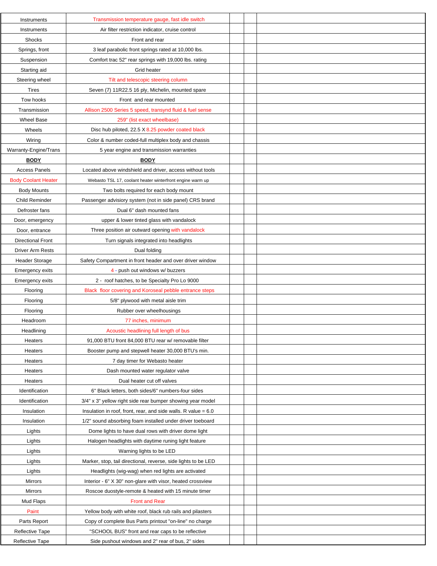| Instruments                | Transmission temperature gauge, fast idle switch                 |  |  |
|----------------------------|------------------------------------------------------------------|--|--|
| Instruments                | Air filter restriction indicator, cruise control                 |  |  |
| Shocks                     | Front and rear                                                   |  |  |
| Springs, front             | 3 leaf parabolic front springs rated at 10,000 lbs.              |  |  |
| Suspension                 | Comfort trac 52" rear springs with 19,000 lbs. rating            |  |  |
| Starting aid               | Grid heater                                                      |  |  |
| Steering wheel             | Tilt and telescopic steering column                              |  |  |
| <b>Tires</b>               | Seven (7) 11R22.5 16 ply, Michelin, mounted spare                |  |  |
| Tow hooks                  | Front and rear mounted                                           |  |  |
| Transmission               | Allison 2500 Series 5 speed, transynd fluid & fuel sense         |  |  |
| <b>Wheel Base</b>          | 259" (list exact wheelbase)                                      |  |  |
| Wheels                     | Disc hub piloted, 22.5 X 8.25 powder coated black                |  |  |
| Wiring                     | Color & number coded-full multiplex body and chassis             |  |  |
| Warranty-Engine/Trans      | 5 year engine and transmission warranties                        |  |  |
| <b>BODY</b>                | <b>BODY</b>                                                      |  |  |
| <b>Access Panels</b>       | Located above windshield and driver, access without tools        |  |  |
| <b>Body Coolant Heater</b> | Webasto TSL 17, coolant heater winterfront engine warm up        |  |  |
| <b>Body Mounts</b>         | Two bolts required for each body mount                           |  |  |
| Child Reminder             | Passenger advisiory system (not in side panel) CRS brand         |  |  |
| Defroster fans             | Dual 6" dash mounted fans                                        |  |  |
| Door, emergency            | upper & lower tinted glass with vandalock                        |  |  |
| Door, entrance             | Three position air outward opening with vandalock                |  |  |
| <b>Directional Front</b>   | Turn signals integrated into headlights                          |  |  |
| Driver Arm Rests           | Dual folding                                                     |  |  |
| <b>Header Storage</b>      | Safety Compartment in front header and over driver window        |  |  |
| <b>Emergency exits</b>     | 4 - push out windows w/ buzzers                                  |  |  |
| <b>Emergency exits</b>     | 2 - roof hatches, to be Specialty Pro Lo 9000                    |  |  |
| Flooring                   | Black floor covering and Koroseal pebble entrance steps          |  |  |
| Flooring                   | 5/8" plywood with metal aisle trim                               |  |  |
| Flooring                   | Rubber over wheelhousings                                        |  |  |
| Headroom                   | 77 inches, minimum                                               |  |  |
| Headlining                 | Acoustic headlining full length of bus                           |  |  |
| Heaters                    | 91,000 BTU front 84,000 BTU rear w/ removable filter             |  |  |
| Heaters                    | Booster pump and stepwell heater 30,000 BTU's min.               |  |  |
| Heaters                    | 7 day timer for Webasto heater                                   |  |  |
| Heaters                    | Dash mounted water regulator valve                               |  |  |
| Heaters                    | Dual heater cut off valves                                       |  |  |
| Identification             | 6" Black letters, both sides/6" numbers-four sides               |  |  |
| Identification             | 3/4" x 3" yellow right side rear bumper showing year model       |  |  |
| Insulation                 | Insulation in roof, front, rear, and side walls. R value $= 6.0$ |  |  |
| Insulation                 | 1/2" sound absorbing foam installed under driver toeboard        |  |  |
| Lights                     | Dome lights to have dual rows with driver dome light             |  |  |
| Lights                     | Halogen headlights with daytime runing light feature             |  |  |
| Lights                     | Warning lights to be LED                                         |  |  |
| Lights                     | Marker, stop, tail directional, reverse, side lights to be LED   |  |  |
| Lights                     | Headlights (wig-wag) when red lights are activated               |  |  |
| Mirrors                    | Interior - 6" X 30" non-glare with visor, heated crossview       |  |  |
| Mirrors                    | Roscoe duostyle-remote & heated with 15 minute timer             |  |  |
| Mud Flaps                  | <b>Front and Rear</b>                                            |  |  |
| Paint                      | Yellow body with white roof, black rub rails and pilasters       |  |  |
| Parts Report               | Copy of complete Bus Parts printout "on-line" no charge          |  |  |
| Reflective Tape            | "SCHOOL BUS" front and rear caps to be reflective                |  |  |
| Reflective Tape            | Side pushout windows and 2" rear of bus, 2" sides                |  |  |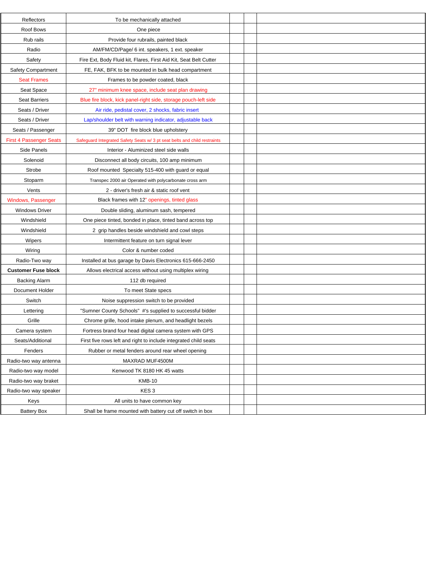| Reflectors                     | To be mechanically attached                                               |  |
|--------------------------------|---------------------------------------------------------------------------|--|
| Roof Bows                      | One piece                                                                 |  |
| Rub rails                      | Provide four rubrails, painted black                                      |  |
| Radio                          | AM/FM/CD/Page/ 6 int. speakers, 1 ext. speaker                            |  |
| Safety                         | Fire Ext, Body Fluid kit, Flares, First Aid Kit, Seat Belt Cutter         |  |
| Safety Compartment             | FE, FAK, BFK to be mounted in bulk head compartment                       |  |
| <b>Seat Frames</b>             | Frames to be powder coated, black                                         |  |
| Seat Space                     | 27" minimum knee space, include seat plan drawing                         |  |
| <b>Seat Barriers</b>           | Blue fire block, kick panel-right side, storage pouch-left side           |  |
| Seats / Driver                 | Air ride, pedistal cover, 2 shocks, fabric insert                         |  |
| Seats / Driver                 | Lap/shoulder belt with warning indicator, adjustable back                 |  |
| Seats / Passenger              | 39" DOT fire block blue upholstery                                        |  |
| <b>First 4 Passenger Seats</b> | Safeguard Integrated Safety Seats w/ 3 pt seat belts and child restraints |  |
| Side Panels                    | Interior - Aluminized steel side walls                                    |  |
| Solenoid                       | Disconnect all body circuits, 100 amp minimum                             |  |
| Strobe                         | Roof mounted Specialty 515-400 with quard or equal                        |  |
| Stoparm                        | Transpec 2000 air Operated with polycarbonate cross arm                   |  |
| Vents                          | 2 - driver's fresh air & static roof vent                                 |  |
| Windows, Passenger             | Black frames with 12" openings, tinted glass                              |  |
| <b>Windows Driver</b>          | Double sliding, aluminum sash, tempered                                   |  |
| Windshield                     | One piece tinted, bonded in place, tinted band across top                 |  |
| Windshield                     | 2 grip handles beside windshield and cowl steps                           |  |
| Wipers                         | Intermittent feature on turn signal lever                                 |  |
| Wiring                         | Color & number coded                                                      |  |
| Radio-Two way                  | Installed at bus garage by Davis Electronics 615-666-2450                 |  |
| <b>Customer Fuse block</b>     | Allows electrical access without using multiplex wiring                   |  |
| <b>Backing Alarm</b>           | 112 db required                                                           |  |
| <b>Document Holder</b>         | To meet State specs                                                       |  |
| Switch                         | Noise suppression switch to be provided                                   |  |
| Lettering                      | "Sumner County Schools" #'s supplied to successful bidder                 |  |
| Grille                         | Chrome grille, hood intake plenum, and headlight bezels                   |  |
| Camera system                  | Fortress brand four head digital camera system with GPS                   |  |
| Seats/Additional               | First five rows left and right to include integrated child seats          |  |
| Fenders                        | Rubber or metal fenders around rear wheel opening                         |  |
| Radio-two way antenna          | MAXRAD MUF4500M                                                           |  |
| Radio-two way model            | Kenwood TK 8180 HK 45 watts                                               |  |
| Radio-two way braket           | <b>KMB-10</b>                                                             |  |
| Radio-two way speaker          | KES <sub>3</sub>                                                          |  |
| Keys                           | All units to have common key                                              |  |
| <b>Battery Box</b>             | Shall be frame mounted with battery cut off switch in box                 |  |